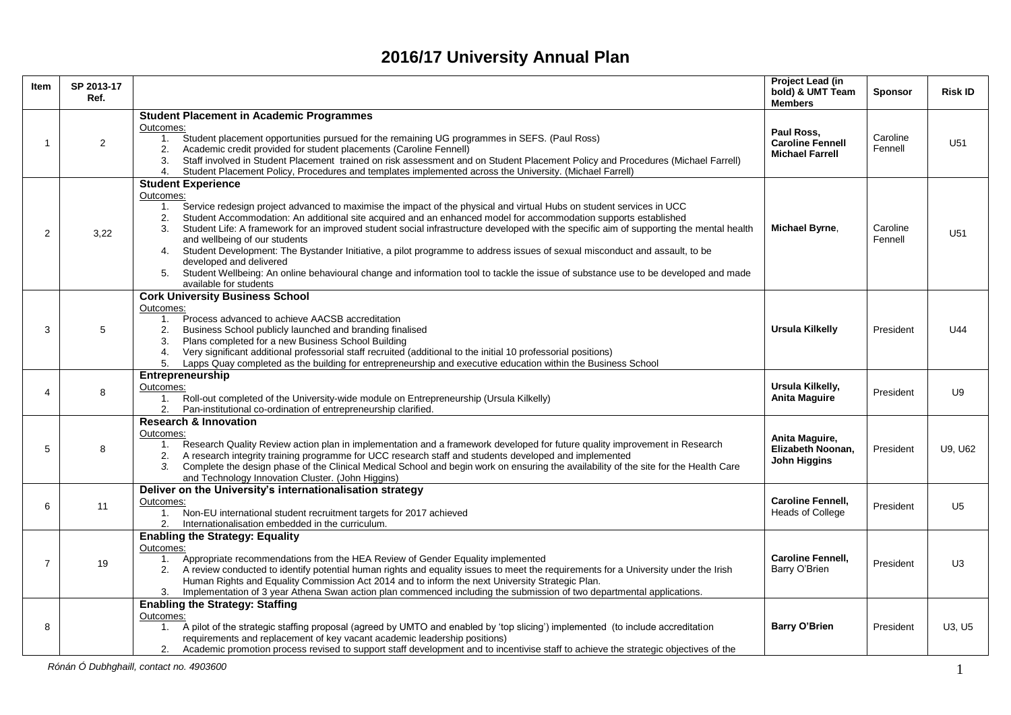## **2016/17 University Annual Plan**

| Item           | SP 2013-17<br>Ref.                      |                                                                                                                                                                                                                                                                                                                                                                                                                                                                                                                                                                                                                                                                                                                                                                                         | <b>Project Lead (in</b><br>bold) & UMT Team<br><b>Members</b>   | Sponsor             | <b>Risk ID</b> |  |  |  |
|----------------|-----------------------------------------|-----------------------------------------------------------------------------------------------------------------------------------------------------------------------------------------------------------------------------------------------------------------------------------------------------------------------------------------------------------------------------------------------------------------------------------------------------------------------------------------------------------------------------------------------------------------------------------------------------------------------------------------------------------------------------------------------------------------------------------------------------------------------------------------|-----------------------------------------------------------------|---------------------|----------------|--|--|--|
|                |                                         | <b>Student Placement in Academic Programmes</b>                                                                                                                                                                                                                                                                                                                                                                                                                                                                                                                                                                                                                                                                                                                                         |                                                                 |                     |                |  |  |  |
| 1              | $\overline{2}$                          | Outcomes:<br>Student placement opportunities pursued for the remaining UG programmes in SEFS. (Paul Ross)<br>1.<br>Academic credit provided for student placements (Caroline Fennell)<br>2.<br>Staff involved in Student Placement trained on risk assessment and on Student Placement Policy and Procedures (Michael Farrell)<br>3.<br>Student Placement Policy, Procedures and templates implemented across the University. (Michael Farrell)<br>4.                                                                                                                                                                                                                                                                                                                                   | Paul Ross.<br><b>Caroline Fennell</b><br><b>Michael Farrell</b> | Caroline<br>Fennell | U51            |  |  |  |
|                |                                         | <b>Student Experience</b>                                                                                                                                                                                                                                                                                                                                                                                                                                                                                                                                                                                                                                                                                                                                                               |                                                                 |                     |                |  |  |  |
| $\overline{2}$ | 3,22                                    | Outcomes:<br>Service redesign project advanced to maximise the impact of the physical and virtual Hubs on student services in UCC<br>1.<br>Student Accommodation: An additional site acquired and an enhanced model for accommodation supports established<br>2.<br>Student Life: A framework for an improved student social infrastructure developed with the specific aim of supporting the mental health<br>3.<br>and wellbeing of our students<br>Student Development: The Bystander Initiative, a pilot programme to address issues of sexual misconduct and assault, to be<br>4.<br>developed and delivered<br>Student Wellbeing: An online behavioural change and information tool to tackle the issue of substance use to be developed and made<br>5.<br>available for students | Michael Byrne,                                                  | Caroline<br>Fennell | U51            |  |  |  |
|                |                                         | <b>Cork University Business School</b>                                                                                                                                                                                                                                                                                                                                                                                                                                                                                                                                                                                                                                                                                                                                                  |                                                                 |                     |                |  |  |  |
| 3              | 5                                       | Outcomes:<br>1. Process advanced to achieve AACSB accreditation<br>2.<br>Business School publicly launched and branding finalised<br>Plans completed for a new Business School Building<br>3.<br>Very significant additional professorial staff recruited (additional to the initial 10 professorial positions)<br>4.<br>Lapps Quay completed as the building for entrepreneurship and executive education within the Business School<br>5.                                                                                                                                                                                                                                                                                                                                             | Ursula Kilkelly                                                 | President           | U44            |  |  |  |
|                |                                         | Entrepreneurship                                                                                                                                                                                                                                                                                                                                                                                                                                                                                                                                                                                                                                                                                                                                                                        |                                                                 |                     |                |  |  |  |
| 4              | 8                                       | Outcomes:<br>1. Roll-out completed of the University-wide module on Entrepreneurship (Ursula Kilkelly)<br>2.<br>Pan-institutional co-ordination of entrepreneurship clarified.                                                                                                                                                                                                                                                                                                                                                                                                                                                                                                                                                                                                          | Ursula Kilkelly,<br><b>Anita Maguire</b>                        | President           | U9             |  |  |  |
|                |                                         | <b>Research &amp; Innovation</b>                                                                                                                                                                                                                                                                                                                                                                                                                                                                                                                                                                                                                                                                                                                                                        |                                                                 |                     |                |  |  |  |
| 5              | 8                                       | Outcomes:<br>Research Quality Review action plan in implementation and a framework developed for future quality improvement in Research<br>1.<br>A research integrity training programme for UCC research staff and students developed and implemented<br>2.<br>Complete the design phase of the Clinical Medical School and begin work on ensuring the availability of the site for the Health Care<br>3.<br>and Technology Innovation Cluster. (John Higgins)                                                                                                                                                                                                                                                                                                                         | Anita Maguire,<br>Elizabeth Noonan,<br><b>John Higgins</b>      | President           | U9, U62        |  |  |  |
|                |                                         | Deliver on the University's internationalisation strategy                                                                                                                                                                                                                                                                                                                                                                                                                                                                                                                                                                                                                                                                                                                               |                                                                 |                     |                |  |  |  |
| 6              | 11                                      | Outcomes:<br>1.<br>Non-EU international student recruitment targets for 2017 achieved<br>Internationalisation embedded in the curriculum.                                                                                                                                                                                                                                                                                                                                                                                                                                                                                                                                                                                                                                               | <b>Caroline Fennell,</b><br><b>Heads of College</b>             | President           | U <sub>5</sub> |  |  |  |
|                |                                         | <b>Enabling the Strategy: Equality</b>                                                                                                                                                                                                                                                                                                                                                                                                                                                                                                                                                                                                                                                                                                                                                  |                                                                 |                     |                |  |  |  |
| 7              | 19                                      | Outcomes:<br>Appropriate recommendations from the HEA Review of Gender Equality implemented<br>1.<br>A review conducted to identify potential human rights and equality issues to meet the requirements for a University under the Irish<br>2.<br>Human Rights and Equality Commission Act 2014 and to inform the next University Strategic Plan.<br>Implementation of 3 year Athena Swan action plan commenced including the submission of two departmental applications.<br>3.                                                                                                                                                                                                                                                                                                        | <b>Caroline Fennell.</b><br>Barry O'Brien                       | President           | U <sub>3</sub> |  |  |  |
|                |                                         | <b>Enabling the Strategy: Staffing</b>                                                                                                                                                                                                                                                                                                                                                                                                                                                                                                                                                                                                                                                                                                                                                  |                                                                 |                     |                |  |  |  |
| 8              |                                         | Outcomes:<br>A pilot of the strategic staffing proposal (agreed by UMTO and enabled by 'top slicing') implemented (to include accreditation<br>1.<br>requirements and replacement of key vacant academic leadership positions)<br>Academic promotion process revised to support staff development and to incentivise staff to achieve the strategic objectives of the<br>2.                                                                                                                                                                                                                                                                                                                                                                                                             | <b>Barry O'Brien</b>                                            | President           | U3, U5         |  |  |  |
|                | Rónán Ó Dubhghaill, contact no. 4903600 |                                                                                                                                                                                                                                                                                                                                                                                                                                                                                                                                                                                                                                                                                                                                                                                         |                                                                 |                     |                |  |  |  |
|                |                                         |                                                                                                                                                                                                                                                                                                                                                                                                                                                                                                                                                                                                                                                                                                                                                                                         |                                                                 |                     |                |  |  |  |